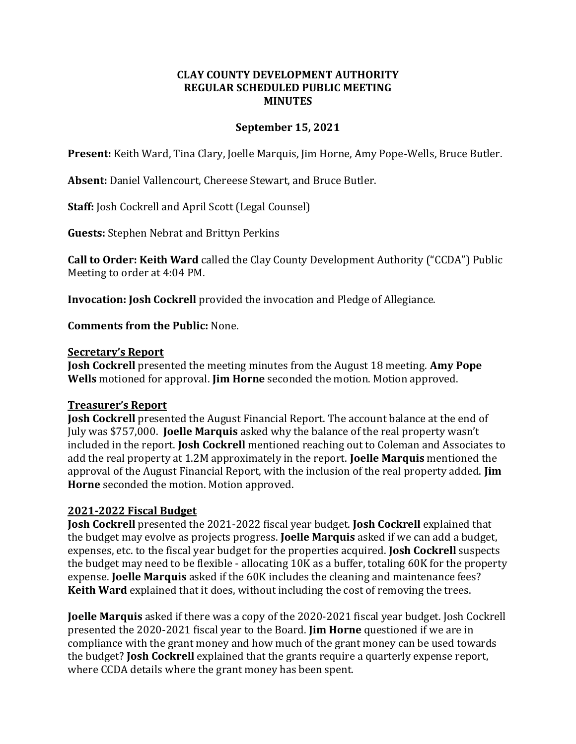# **CLAY COUNTY DEVELOPMENT AUTHORITY REGULAR SCHEDULED PUBLIC MEETING MINUTES**

# **September 15, 2021**

**Present:** Keith Ward, Tina Clary, Joelle Marquis, Jim Horne, Amy Pope-Wells, Bruce Butler.

**Absent:** Daniel Vallencourt, Chereese Stewart, and Bruce Butler.

**Staff:** Josh Cockrell and April Scott (Legal Counsel)

**Guests:** Stephen Nebrat and Brittyn Perkins

**Call to Order: Keith Ward** called the Clay County Development Authority ("CCDA") Public Meeting to order at 4:04 PM.

**Invocation: Josh Cockrell** provided the invocation and Pledge of Allegiance.

**Comments from the Public:** None.

### **Secretary's Report**

**Josh Cockrell** presented the meeting minutes from the August 18 meeting. **Amy Pope Wells** motioned for approval. **Jim Horne** seconded the motion. Motion approved.

# **Treasurer's Report**

**Josh Cockrell** presented the August Financial Report. The account balance at the end of July was \$757,000. **Joelle Marquis** asked why the balance of the real property wasn't included in the report. **Josh Cockrell** mentioned reaching out to Coleman and Associates to add the real property at 1.2M approximately in the report. **Joelle Marquis** mentioned the approval of the August Financial Report, with the inclusion of the real property added. **Jim Horne** seconded the motion. Motion approved.

# **2021-2022 Fiscal Budget**

**Josh Cockrell** presented the 2021-2022 fiscal year budget. **Josh Cockrell** explained that the budget may evolve as projects progress. **Joelle Marquis** asked if we can add a budget, expenses, etc. to the fiscal year budget for the properties acquired. **Josh Cockrell** suspects the budget may need to be flexible - allocating 10K as a buffer, totaling 60K for the property expense. **Joelle Marquis** asked if the 60K includes the cleaning and maintenance fees? **Keith Ward** explained that it does, without including the cost of removing the trees.

**Joelle Marquis** asked if there was a copy of the 2020-2021 fiscal year budget. Josh Cockrell presented the 2020-2021 fiscal year to the Board. **Jim Horne** questioned if we are in compliance with the grant money and how much of the grant money can be used towards the budget? **Josh Cockrell** explained that the grants require a quarterly expense report, where CCDA details where the grant money has been spent.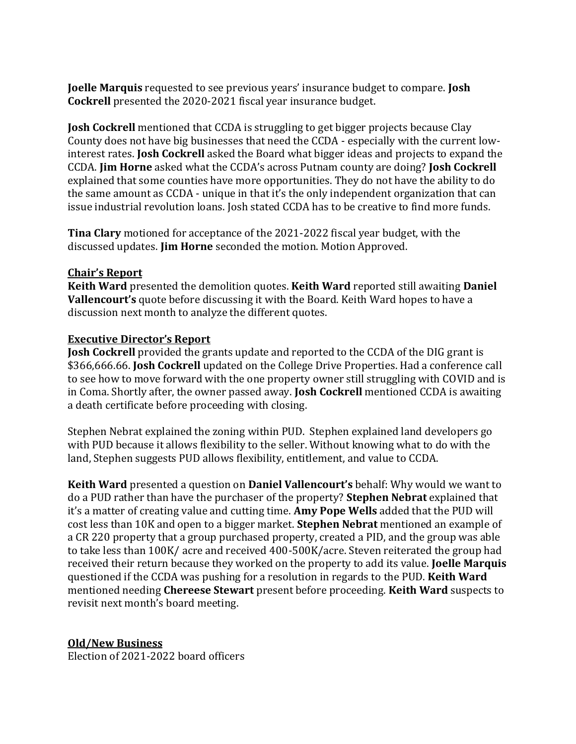**Joelle Marquis** requested to see previous years' insurance budget to compare. **Josh Cockrell** presented the 2020-2021 fiscal year insurance budget.

**Josh Cockrell** mentioned that CCDA is struggling to get bigger projects because Clay County does not have big businesses that need the CCDA - especially with the current lowinterest rates. **Josh Cockrell** asked the Board what bigger ideas and projects to expand the CCDA. **Jim Horne** asked what the CCDA's across Putnam county are doing? **Josh Cockrell** explained that some counties have more opportunities. They do not have the ability to do the same amount as CCDA - unique in that it's the only independent organization that can issue industrial revolution loans. Josh stated CCDA has to be creative to find more funds.

**Tina Clary** motioned for acceptance of the 2021-2022 fiscal year budget, with the discussed updates. **Jim Horne** seconded the motion. Motion Approved.

# **Chair's Report**

**Keith Ward** presented the demolition quotes. **Keith Ward** reported still awaiting **Daniel Vallencourt's** quote before discussing it with the Board. Keith Ward hopes to have a discussion next month to analyze the different quotes.

# **Executive Director's Report**

**Josh Cockrell** provided the grants update and reported to the CCDA of the DIG grant is \$366,666.66. **Josh Cockrell** updated on the College Drive Properties. Had a conference call to see how to move forward with the one property owner still struggling with COVID and is in Coma. Shortly after, the owner passed away. **Josh Cockrell** mentioned CCDA is awaiting a death certificate before proceeding with closing.

Stephen Nebrat explained the zoning within PUD. Stephen explained land developers go with PUD because it allows flexibility to the seller. Without knowing what to do with the land, Stephen suggests PUD allows flexibility, entitlement, and value to CCDA.

**Keith Ward** presented a question on **Daniel Vallencourt's** behalf: Why would we want to do a PUD rather than have the purchaser of the property? **Stephen Nebrat** explained that it's a matter of creating value and cutting time. **Amy Pope Wells** added that the PUD will cost less than 10K and open to a bigger market. **Stephen Nebrat** mentioned an example of a CR 220 property that a group purchased property, created a PID, and the group was able to take less than 100K/ acre and received 400-500K/acre. Steven reiterated the group had received their return because they worked on the property to add its value. **Joelle Marquis** questioned if the CCDA was pushing for a resolution in regards to the PUD. **Keith Ward** mentioned needing **Chereese Stewart** present before proceeding. **Keith Ward** suspects to revisit next month's board meeting.

# **Old/New Business**

Election of 2021-2022 board officers